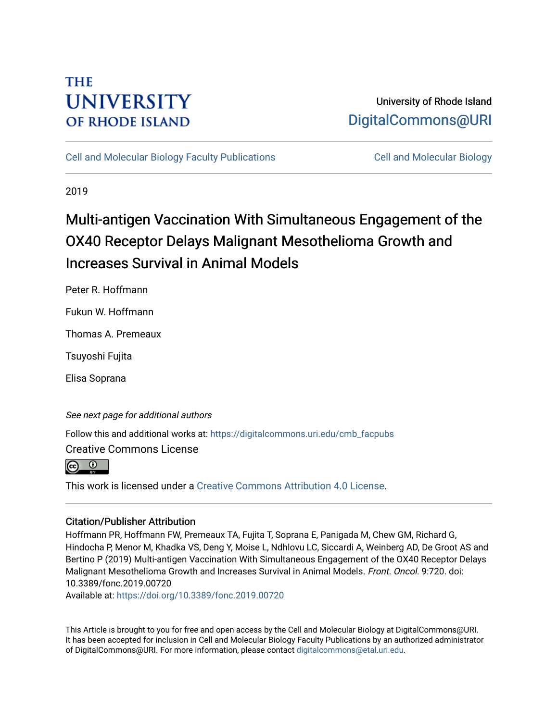## **THE UNIVERSITY OF RHODE ISLAND**

## University of Rhode Island [DigitalCommons@URI](https://digitalcommons.uri.edu/)

[Cell and Molecular Biology Faculty Publications](https://digitalcommons.uri.edu/cmb_facpubs) [Cell and Molecular Biology](https://digitalcommons.uri.edu/cmb) 

2019

# Multi-antigen Vaccination With Simultaneous Engagement of the OX40 Receptor Delays Malignant Mesothelioma Growth and Increases Survival in Animal Models

Peter R. Hoffmann

Fukun W. Hoffmann

Thomas A. Premeaux

Tsuyoshi Fujita

Elisa Soprana

See next page for additional authors

Follow this and additional works at: [https://digitalcommons.uri.edu/cmb\\_facpubs](https://digitalcommons.uri.edu/cmb_facpubs?utm_source=digitalcommons.uri.edu%2Fcmb_facpubs%2F123&utm_medium=PDF&utm_campaign=PDFCoverPages) 

Creative Commons License

 $\overline{0}$ 

This work is licensed under a [Creative Commons Attribution 4.0 License](https://creativecommons.org/licenses/by/4.0/).

#### Citation/Publisher Attribution

Hoffmann PR, Hoffmann FW, Premeaux TA, Fujita T, Soprana E, Panigada M, Chew GM, Richard G, Hindocha P, Menor M, Khadka VS, Deng Y, Moise L, Ndhlovu LC, Siccardi A, Weinberg AD, De Groot AS and Bertino P (2019) Multi-antigen Vaccination With Simultaneous Engagement of the OX40 Receptor Delays Malignant Mesothelioma Growth and Increases Survival in Animal Models. Front. Oncol. 9:720. doi: 10.3389/fonc.2019.00720

Available at:<https://doi.org/10.3389/fonc.2019.00720>

This Article is brought to you for free and open access by the Cell and Molecular Biology at DigitalCommons@URI. It has been accepted for inclusion in Cell and Molecular Biology Faculty Publications by an authorized administrator of DigitalCommons@URI. For more information, please contact [digitalcommons@etal.uri.edu](mailto:digitalcommons@etal.uri.edu).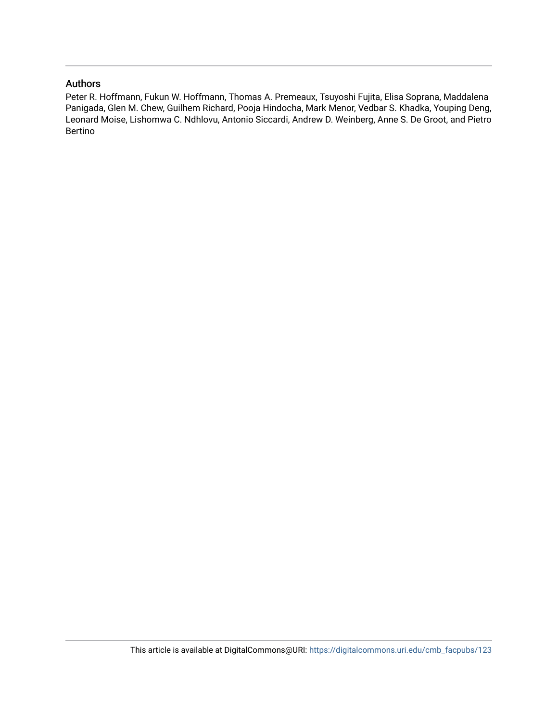#### Authors

Peter R. Hoffmann, Fukun W. Hoffmann, Thomas A. Premeaux, Tsuyoshi Fujita, Elisa Soprana, Maddalena Panigada, Glen M. Chew, Guilhem Richard, Pooja Hindocha, Mark Menor, Vedbar S. Khadka, Youping Deng, Leonard Moise, Lishomwa C. Ndhlovu, Antonio Siccardi, Andrew D. Weinberg, Anne S. De Groot, and Pietro Bertino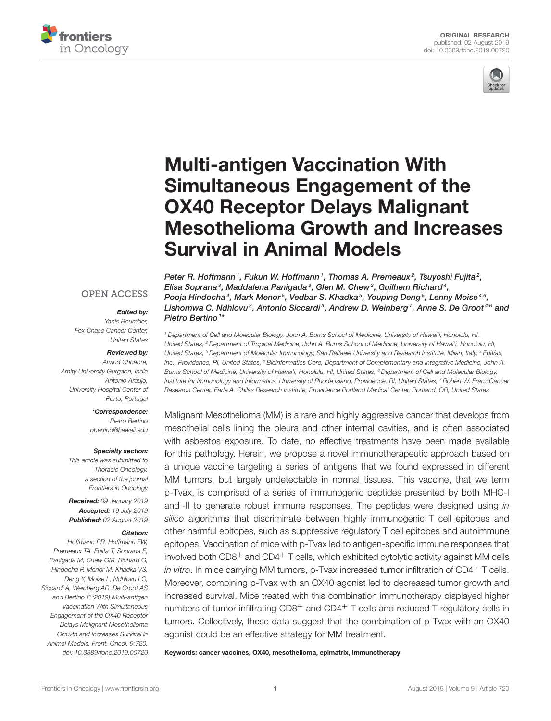



# Multi-antigen Vaccination With Simultaneous Engagement of the OX40 Receptor Delays Malignant [Mesothelioma Growth and Increases](https://www.frontiersin.org/articles/10.3389/fonc.2019.00720/full) Survival in Animal Models

#### **OPEN ACCESS**

#### Edited by:

*Yanis Boumber, Fox Chase Cancer Center, United States*

#### Reviewed by:

*Arvind Chhabra, Amity University Gurgaon, India Antonio Araujo, University Hospital Center of Porto, Portugal*

#### \*Correspondence:

*Pietro Bertino [pbertino@hawaii.edu](mailto:pbertino@hawaii.edu)*

#### Specialty section:

*This article was submitted to Thoracic Oncology, a section of the journal Frontiers in Oncology*

Received: *09 January 2019* Accepted: *19 July 2019* Published: *02 August 2019*

#### Citation:

*Hoffmann PR, Hoffmann FW, Premeaux TA, Fujita T, Soprana E, Panigada M, Chew GM, Richard G, Hindocha P, Menor M, Khadka VS, Deng Y, Moise L, Ndhlovu LC, Siccardi A, Weinberg AD, De Groot AS and Bertino P (2019) Multi-antigen Vaccination With Simultaneous Engagement of the OX40 Receptor Delays Malignant Mesothelioma Growth and Increases Survival in Animal Models. Front. Oncol. 9:720. doi: [10.3389/fonc.2019.00720](https://doi.org/10.3389/fonc.2019.00720)*

Peter R. Hoffmann1, Fukun W. Hoffmann1, [Thomas A. Premeaux](http://loop.frontiersin.org/people/398474/overview) $^2$ , [Tsuyoshi Fujita](http://loop.frontiersin.org/people/771101/overview) $^2$ , Elisa Soprana $^3$ , Maddalena Panigada $^3$ , [Glen M. Chew](http://loop.frontiersin.org/people/736616/overview) $^2$ , Guilhem Richard $^4$ , Pooja Hindocha<sup>4</sup>, Mark Menor<sup>5</sup>, [Vedbar S. Khadka](http://loop.frontiersin.org/people/277595/overview)<sup>5</sup>, [Youping Deng](http://loop.frontiersin.org/people/188819/overview)<sup>5</sup>, [Lenny Moise](http://loop.frontiersin.org/people/171650/overview)<sup>4,6</sup>, Lishomwa C. Ndhlovu², Antonio Siccardi<sup>3</sup>, [Andrew D. Weinberg](http://loop.frontiersin.org/people/25414/overview)<sup>7</sup>, [Anne S. De Groot](http://loop.frontiersin.org/people/43128/overview)<sup>4,6</sup> and [Pietro Bertino](http://loop.frontiersin.org/people/668128/overview) <sup>1\*</sup>

*<sup>1</sup> Department of Cell and Molecular Biology, John A. Burns School of Medicine, University of Hawai'i, Honolulu, HI, United States, <sup>2</sup> Department of Tropical Medicine, John A. Burns School of Medicine, University of Hawai'i, Honolulu, HI, United States, <sup>3</sup> Department of Molecular Immunology, San Raffaele University and Research Institute, Milan, Italy, <sup>4</sup> EpiVax, Inc., Providence, RI, United States, <sup>5</sup> Bioinformatics Core, Department of Complementary and Integrative Medicine, John A. Burns School of Medicine, University of Hawai'i, Honolulu, HI, United States, <sup>6</sup> Department of Cell and Molecular Biology, Institute for Immunology and Informatics, University of Rhode Island, Providence, RI, United States, <sup>7</sup> Robert W. Franz Cancer Research Center, Earle A. Chiles Research Institute, Providence Portland Medical Center, Portland, OR, United States*

Malignant Mesothelioma (MM) is a rare and highly aggressive cancer that develops from mesothelial cells lining the pleura and other internal cavities, and is often associated with asbestos exposure. To date, no effective treatments have been made available for this pathology. Herein, we propose a novel immunotherapeutic approach based on a unique vaccine targeting a series of antigens that we found expressed in different MM tumors, but largely undetectable in normal tissues. This vaccine, that we term p-Tvax, is comprised of a series of immunogenic peptides presented by both MHC-I and -II to generate robust immune responses. The peptides were designed using *in silico* algorithms that discriminate between highly immunogenic T cell epitopes and other harmful epitopes, such as suppressive regulatory T cell epitopes and autoimmune epitopes. Vaccination of mice with p-Tvax led to antigen-specific immune responses that involved both  $CD8<sup>+</sup>$  and  $CD4<sup>+</sup>$  T cells, which exhibited cytolytic activity against MM cells *in vitro*. In mice carrying MM tumors, p-Tvax increased tumor infiltration of CD4<sup>+</sup> T cells. Moreover, combining p-Tvax with an OX40 agonist led to decreased tumor growth and increased survival. Mice treated with this combination immunotherapy displayed higher numbers of tumor-infiltrating CD8<sup>+</sup> and CD4<sup>+</sup> T cells and reduced T regulatory cells in tumors. Collectively, these data suggest that the combination of p-Tvax with an OX40 agonist could be an effective strategy for MM treatment.

Keywords: cancer vaccines, OX40, mesothelioma, epimatrix, immunotherapy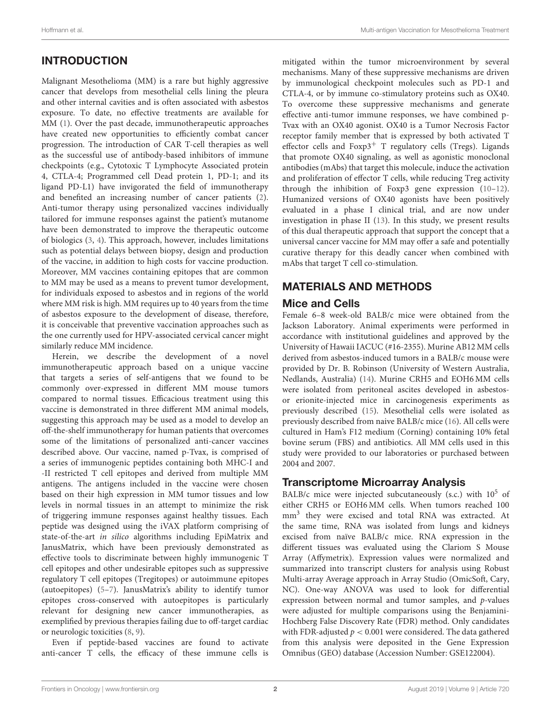## INTRODUCTION

Malignant Mesothelioma (MM) is a rare but highly aggressive cancer that develops from mesothelial cells lining the pleura and other internal cavities and is often associated with asbestos exposure. To date, no effective treatments are available for MM [\(1\)](#page-11-0). Over the past decade, immunotherapeutic approaches have created new opportunities to efficiently combat cancer progression. The introduction of CAR T-cell therapies as well as the successful use of antibody-based inhibitors of immune checkpoints (e.g., Cytotoxic T Lymphocyte Associated protein 4, CTLA-4; Programmed cell Dead protein 1, PD-1; and its ligand PD-L1) have invigorated the field of immunotherapy and benefited an increasing number of cancer patients [\(2\)](#page-11-1). Anti-tumor therapy using personalized vaccines individually tailored for immune responses against the patient's mutanome have been demonstrated to improve the therapeutic outcome of biologics [\(3,](#page-11-2) [4\)](#page-11-3). This approach, however, includes limitations such as potential delays between biopsy, design and production of the vaccine, in addition to high costs for vaccine production. Moreover, MM vaccines containing epitopes that are common to MM may be used as a means to prevent tumor development, for individuals exposed to asbestos and in regions of the world where MM risk is high. MM requires up to 40 years from the time of asbestos exposure to the development of disease, therefore, it is conceivable that preventive vaccination approaches such as the one currently used for HPV-associated cervical cancer might similarly reduce MM incidence.

Herein, we describe the development of a novel immunotherapeutic approach based on a unique vaccine that targets a series of self-antigens that we found to be commonly over-expressed in different MM mouse tumors compared to normal tissues. Efficacious treatment using this vaccine is demonstrated in three different MM animal models, suggesting this approach may be used as a model to develop an off-the-shelf immunotherapy for human patients that overcomes some of the limitations of personalized anti-cancer vaccines described above. Our vaccine, named p-Tvax, is comprised of a series of immunogenic peptides containing both MHC-I and -II restricted T cell epitopes and derived from multiple MM antigens. The antigens included in the vaccine were chosen based on their high expression in MM tumor tissues and low levels in normal tissues in an attempt to minimize the risk of triggering immune responses against healthy tissues. Each peptide was designed using the iVAX platform comprising of state-of-the-art in silico algorithms including EpiMatrix and JanusMatrix, which have been previously demonstrated as effective tools to discriminate between highly immunogenic T cell epitopes and other undesirable epitopes such as suppressive regulatory T cell epitopes (Tregitopes) or autoimmune epitopes (autoepitopes) [\(5](#page-11-4)[–7\)](#page-11-5). JanusMatrix's ability to identify tumor epitopes cross-conserved with autoepitopes is particularly relevant for designing new cancer immunotherapies, as exemplified by previous therapies failing due to off-target cardiac or neurologic toxicities [\(8,](#page-11-6) [9\)](#page-11-7).

Even if peptide-based vaccines are found to activate anti-cancer T cells, the efficacy of these immune cells is

mitigated within the tumor microenvironment by several mechanisms. Many of these suppressive mechanisms are driven by immunological checkpoint molecules such as PD-1 and CTLA-4, or by immune co-stimulatory proteins such as OX40. To overcome these suppressive mechanisms and generate effective anti-tumor immune responses, we have combined p-Tvax with an OX40 agonist. OX40 is a Tumor Necrosis Factor receptor family member that is expressed by both activated T effector cells and  $F\alpha p3^+$  T regulatory cells (Tregs). Ligands that promote OX40 signaling, as well as agonistic monoclonal antibodies (mAbs) that target this molecule, induce the activation and proliferation of effector T cells, while reducing Treg activity through the inhibition of Foxp3 gene expression [\(10–](#page-11-8)[12\)](#page-11-9). Humanized versions of OX40 agonists have been positively evaluated in a phase I clinical trial, and are now under investigation in phase II [\(13\)](#page-11-10). In this study, we present results of this dual therapeutic approach that support the concept that a universal cancer vaccine for MM may offer a safe and potentially curative therapy for this deadly cancer when combined with mAbs that target T cell co-stimulation.

## MATERIALS AND METHODS

#### Mice and Cells

Female 6–8 week-old BALB/c mice were obtained from the Jackson Laboratory. Animal experiments were performed in accordance with institutional guidelines and approved by the University of Hawaii IACUC (#16-2355). Murine AB12 MM cells derived from asbestos-induced tumors in a BALB/c mouse were provided by Dr. B. Robinson (University of Western Australia, Nedlands, Australia) [\(14\)](#page-11-11). Murine CRH5 and EOH6 MM cells were isolated from peritoneal ascites developed in asbestosor erionite-injected mice in carcinogenesis experiments as previously described [\(15\)](#page-11-12). Mesothelial cells were isolated as previously described from naive BALB/c mice [\(16\)](#page-11-13). All cells were cultured in Ham's F12 medium (Corning) containing 10% fetal bovine serum (FBS) and antibiotics. All MM cells used in this study were provided to our laboratories or purchased between 2004 and 2007.

#### Transcriptome Microarray Analysis

BALB/c mice were injected subcutaneously (s.c.) with  $10^5$  of either CRH5 or EOH6 MM cells. When tumors reached 100 mm<sup>3</sup> they were excised and total RNA was extracted. At the same time, RNA was isolated from lungs and kidneys excised from naïve BALB/c mice. RNA expression in the different tissues was evaluated using the Clariom S Mouse Array (Affymetrix). Expression values were normalized and summarized into transcript clusters for analysis using Robust Multi-array Average approach in Array Studio (OmicSoft, Cary, NC). One-way ANOVA was used to look for differential expression between normal and tumor samples, and p-values were adjusted for multiple comparisons using the Benjamini-Hochberg False Discovery Rate (FDR) method. Only candidates with FDR-adjusted  $p < 0.001$  were considered. The data gathered from this analysis were deposited in the Gene Expression Omnibus (GEO) database (Accession Number: GSE122004).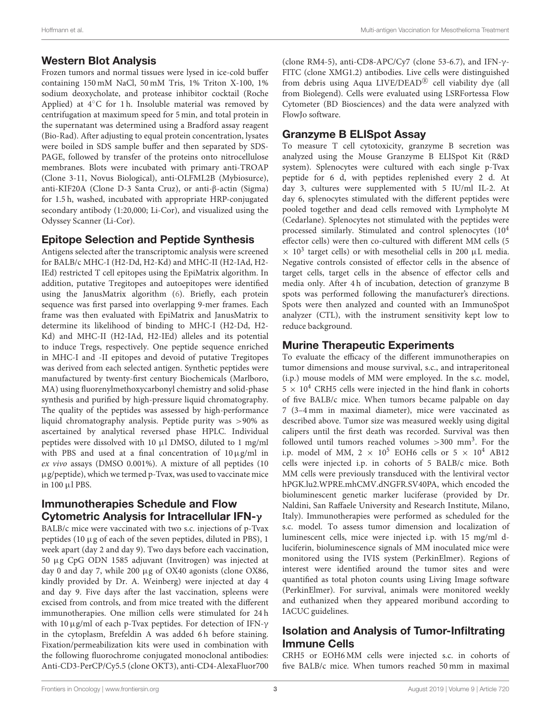#### Western Blot Analysis

Frozen tumors and normal tissues were lysed in ice-cold buffer containing 150 mM NaCl, 50 mM Tris, 1% Triton X-100, 1% sodium deoxycholate, and protease inhibitor cocktail (Roche Applied) at 4◦C for 1 h. Insoluble material was removed by centrifugation at maximum speed for 5 min, and total protein in the supernatant was determined using a Bradford assay reagent (Bio-Rad). After adjusting to equal protein concentration, lysates were boiled in SDS sample buffer and then separated by SDS-PAGE, followed by transfer of the proteins onto nitrocellulose membranes. Blots were incubated with primary anti-TROAP (Clone 3-11, Novus Biological), anti-OLFML2B (Mybiosurce), anti-KIF20A (Clone D-3 Santa Cruz), or anti-β-actin (Sigma) for 1.5 h, washed, incubated with appropriate HRP-conjugated secondary antibody (1:20,000; Li-Cor), and visualized using the Odyssey Scanner (Li-Cor).

#### Epitope Selection and Peptide Synthesis

Antigens selected after the transcriptomic analysis were screened for BALB/c MHC-I (H2-Dd, H2-Kd) and MHC-II (H2-IAd, H2- IEd) restricted T cell epitopes using the EpiMatrix algorithm. In addition, putative Tregitopes and autoepitopes were identified using the JanusMatrix algorithm [\(6\)](#page-11-14). Briefly, each protein sequence was first parsed into overlapping 9-mer frames. Each frame was then evaluated with EpiMatrix and JanusMatrix to determine its likelihood of binding to MHC-I (H2-Dd, H2- Kd) and MHC-II (H2-IAd, H2-IEd) alleles and its potential to induce Tregs, respectively. One peptide sequence enriched in MHC-I and -II epitopes and devoid of putative Tregitopes was derived from each selected antigen. Synthetic peptides were manufactured by twenty-first century Biochemicals (Marlboro, MA) using fluorenylmethoxycarbonyl chemistry and solid-phase synthesis and purified by high-pressure liquid chromatography. The quality of the peptides was assessed by high-performance liquid chromatography analysis. Peptide purity was >90% as ascertained by analytical reversed phase HPLC. Individual peptides were dissolved with 10 µl DMSO, diluted to 1 mg/ml with PBS and used at a final concentration of  $10 \mu$ g/ml in ex vivo assays (DMSO 0.001%). A mixture of all peptides (10 µg/peptide), which we termed p-Tvax, was used to vaccinate mice in 100 µl PBS.

#### Immunotherapies Schedule and Flow Cytometric Analysis for Intracellular IFN-γ

BALB/c mice were vaccinated with two s.c. injections of p-Tvax peptides (10 µg of each of the seven peptides, diluted in PBS), 1 week apart (day 2 and day 9). Two days before each vaccination, 50 µg CpG ODN 1585 adjuvant (Invitrogen) was injected at day 0 and day 7, while 200 µg of OX40 agonists (clone OX86, kindly provided by Dr. A. Weinberg) were injected at day 4 and day 9. Five days after the last vaccination, spleens were excised from controls, and from mice treated with the different immunotherapies. One million cells were stimulated for 24 h with 10µg/ml of each p-Tvax peptides. For detection of IFN-γ in the cytoplasm, Brefeldin A was added 6 h before staining. Fixation/permeabilization kits were used in combination with the following fluorochrome conjugated monoclonal antibodies: Anti-CD3-PerCP/Cy5.5 (clone OKT3), anti-CD4-AlexaFluor700 (clone RM4-5), anti-CD8-APC/Cy7 (clone 53-6.7), and IFN- $\gamma$ -FITC (clone XMG1.2) antibodies. Live cells were distinguished from debris using Aqua LIVE/DEAD® cell viability dye (all from Biolegend). Cells were evaluated using LSRFortessa Flow Cytometer (BD Biosciences) and the data were analyzed with FlowJo software.

#### Granzyme B ELISpot Assay

To measure T cell cytotoxicity, granzyme B secretion was analyzed using the Mouse Granzyme B ELISpot Kit (R&D system). Splenocytes were cultured with each single p-Tvax peptide for 6 d, with peptides replenished every 2 d. At day 3, cultures were supplemented with 5 IU/ml IL-2. At day 6, splenocytes stimulated with the different peptides were pooled together and dead cells removed with Lympholyte M (Cedarlane). Splenocytes not stimulated with the peptides were processed similarly. Stimulated and control splenocytes (10<sup>4</sup> effector cells) were then co-cultured with different MM cells (5  $\times$  10<sup>3</sup> target cells) or with mesothelial cells in 200  $\mu$ L media. Negative controls consisted of effector cells in the absence of target cells, target cells in the absence of effector cells and media only. After 4h of incubation, detection of granzyme B spots was performed following the manufacturer's directions. Spots were then analyzed and counted with an ImmunoSpot analyzer (CTL), with the instrument sensitivity kept low to reduce background.

### Murine Therapeutic Experiments

To evaluate the efficacy of the different immunotherapies on tumor dimensions and mouse survival, s.c., and intraperitoneal (i.p.) mouse models of MM were employed. In the s.c. model,  $5 \times 10^4$  CRH5 cells were injected in the hind flank in cohorts of five BALB/c mice. When tumors became palpable on day 7 (3–4 mm in maximal diameter), mice were vaccinated as described above. Tumor size was measured weekly using digital calipers until the first death was recorded. Survival was then followed until tumors reached volumes  $>$  300 mm<sup>3</sup>. For the i.p. model of MM, 2  $\times$  10<sup>5</sup> EOH6 cells or 5  $\times$  10<sup>4</sup> AB12 cells were injected i.p. in cohorts of 5 BALB/c mice. Both MM cells were previously transduced with the lentiviral vector hPGK.lu2.WPRE.mhCMV.dNGFR.SV40PA, which encoded the bioluminescent genetic marker luciferase (provided by Dr. Naldini, San Raffaele University and Research Institute, Milano, Italy). Immunotherapies were performed as scheduled for the s.c. model. To assess tumor dimension and localization of luminescent cells, mice were injected i.p. with 15 mg/ml dluciferin, bioluminescence signals of MM inoculated mice were monitored using the IVIS system (PerkinElmer). Regions of interest were identified around the tumor sites and were quantified as total photon counts using Living Image software (PerkinElmer). For survival, animals were monitored weekly and euthanized when they appeared moribund according to IACUC guidelines.

#### Isolation and Analysis of Tumor-Infiltrating Immune Cells

CRH5 or EOH6 MM cells were injected s.c. in cohorts of five BALB/c mice. When tumors reached 50 mm in maximal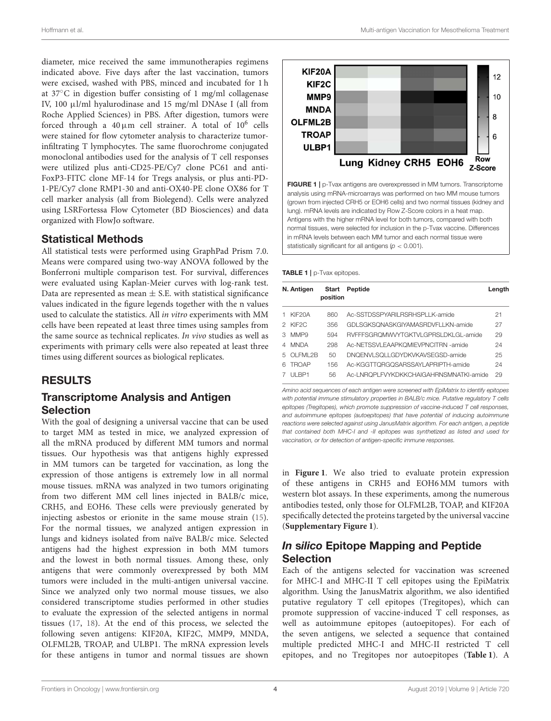diameter, mice received the same immunotherapies regimens indicated above. Five days after the last vaccination, tumors were excised, washed with PBS, minced and incubated for 1 h at 37◦C in digestion buffer consisting of 1 mg/ml collagenase IV, 100 µl/ml hyalurodinase and 15 mg/ml DNAse I (all from Roche Applied Sciences) in PBS. After digestion, tumors were forced through a  $40 \,\upmu \text{m}$  cell strainer. A total of  $10^6$  cells were stained for flow cytometer analysis to characterize tumorinfiltrating T lymphocytes. The same fluorochrome conjugated monoclonal antibodies used for the analysis of T cell responses were utilized plus anti-CD25-PE/Cy7 clone PC61 and anti-FoxP3-FITC clone MF-14 for Tregs analysis, or plus anti-PD-1-PE/Cy7 clone RMP1-30 and anti-OX40-PE clone OX86 for T cell marker analysis (all from Biolegend). Cells were analyzed using LSRFortessa Flow Cytometer (BD Biosciences) and data organized with FlowJo software.

#### Statistical Methods

All statistical tests were performed using GraphPad Prism 7.0. Means were compared using two-way ANOVA followed by the Bonferroni multiple comparison test. For survival, differences were evaluated using Kaplan-Meier curves with log-rank test. Data are represented as mean  $\pm$  S.E. with statistical significance values indicated in the figure legends together with the n values used to calculate the statistics. All in vitro experiments with MM cells have been repeated at least three times using samples from the same source as technical replicates. In vivo studies as well as experiments with primary cells were also repeated at least three times using different sources as biological replicates.

#### RESULTS

#### Transcriptome Analysis and Antigen Selection

With the goal of designing a universal vaccine that can be used to target MM as tested in mice, we analyzed expression of all the mRNA produced by different MM tumors and normal tissues. Our hypothesis was that antigens highly expressed in MM tumors can be targeted for vaccination, as long the expression of those antigens is extremely low in all normal mouse tissues. mRNA was analyzed in two tumors originating from two different MM cell lines injected in BALB/c mice, CRH5, and EOH6. These cells were previously generated by injecting asbestos or erionite in the same mouse strain [\(15\)](#page-11-12). For the normal tissues, we analyzed antigen expression in lungs and kidneys isolated from naïve BALB/c mice. Selected antigens had the highest expression in both MM tumors and the lowest in both normal tissues. Among these, only antigens that were commonly overexpressed by both MM tumors were included in the multi-antigen universal vaccine. Since we analyzed only two normal mouse tissues, we also considered transcriptome studies performed in other studies to evaluate the expression of the selected antigens in normal tissues [\(17,](#page-11-15) [18\)](#page-11-16). At the end of this process, we selected the following seven antigens: KIF20A, KIF2C, MMP9, MNDA, OLFML2B, TROAP, and ULBP1. The mRNA expression levels for these antigens in tumor and normal tissues are shown



<span id="page-5-0"></span>FIGURE 1 | p-Tvax antigens are overexpressed in MM tumors. Transcriptome analysis using mRNA-microarrays was performed on two MM mouse tumors (grown from injected CRH5 or EOH6 cells) and two normal tissues (kidney and lung). mRNA levels are indicated by Row Z-Score colors in a heat map. Antigens with the higher mRNA level for both tumors, compared with both normal tissues, were selected for inclusion in the p-Tvax vaccine. Differences in mRNA levels between each MM tumor and each normal tissue were statistically significant for all antigens (*p* < 0.001).

<span id="page-5-1"></span>TABLE 1 | p-Tvax epitopes.

|    | N. Antigen          | Start<br>position | Peptide                                | Length |
|----|---------------------|-------------------|----------------------------------------|--------|
|    | KIF <sub>20</sub> A | 860               | Ac-SSTDSSPYARIL RSRHSPLLK-amide        | 21     |
|    | 2 KIF2C             | 356               | GDLSGKSQNASKGIYAMASRDVFLLKN-amide      | 27     |
| З  | MMP <sub>9</sub>    | 594               | RVFFFSGROMWVYTGKTVLGPRSLDKLGL-amide    | 29     |
| 4  | <b>MNDA</b>         | 298               | Ac-NETSSVLFAAPKOMIEVPNCITRN-amide      | 24     |
| 5. | $O$ I FMI 2 $B$     | 50                | DNOENVLSOLLGDYDKVKAVSEGSD-amide        | 25     |
| Я  | <b>TROAP</b>        | 156               | Ac-KGGTTQRGQSARSSAYLAPRIPTH-amide      | 24     |
|    | ULBP1               | 56                | Ac-LNROPLFVYKDKKCHAIGAHRNSMNATKI-amide | 29     |

*Amino acid sequences of each antigen were screened with EpiMatrix to identify epitopes with potential immune stimulatory properties in BALB/c mice. Putative regulatory T cells epitopes (Tregitopes), which promote suppression of vaccine-induced T cell responses, and autoimmune epitopes (autoepitopes) that have potential of inducing autoimmune reactions were selected against using JanusMatrix algorithm. For each antigen, a peptide that contained both MHC-I and -II epitopes was synthetized as listed and used for vaccination, or for detection of antigen-specific immune responses.*

in **[Figure 1](#page-5-0)**. We also tried to evaluate protein expression of these antigens in CRH5 and EOH6 MM tumors with western blot assays. In these experiments, among the numerous antibodies tested, only those for OLFML2B, TOAP, and KIF20A specifically detected the proteins targeted by the universal vaccine (**[Supplementary Figure 1](#page-11-17)**).

#### In silico Epitope Mapping and Peptide Selection

Each of the antigens selected for vaccination was screened for MHC-I and MHC-II T cell epitopes using the EpiMatrix algorithm. Using the JanusMatrix algorithm, we also identified putative regulatory T cell epitopes (Tregitopes), which can promote suppression of vaccine-induced T cell responses, as well as autoimmune epitopes (autoepitopes). For each of the seven antigens, we selected a sequence that contained multiple predicted MHC-I and MHC-II restricted T cell epitopes, and no Tregitopes nor autoepitopes (**[Table 1](#page-5-1)**). A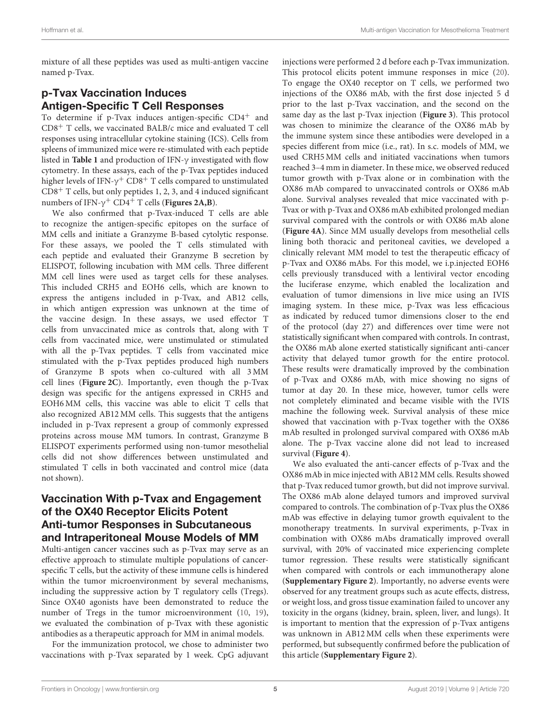mixture of all these peptides was used as multi-antigen vaccine named p-Tvax.

### p-Tvax Vaccination Induces Antigen-Specific T Cell Responses

To determine if p-Tvax induces antigen-specific CD4<sup>+</sup> and CD8<sup>+</sup> T cells, we vaccinated BALB/c mice and evaluated T cell responses using intracellular cytokine staining (ICS). Cells from spleens of immunized mice were re-stimulated with each peptide listed in **[Table 1](#page-5-1)** and production of IFN-γ investigated with flow cytometry. In these assays, each of the p-Tvax peptides induced higher levels of IFN- $\gamma^{+}$  CD8 $^{+}$  T cells compared to unstimulated  $CD8<sup>+</sup>$  T cells, but only peptides 1, 2, 3, and 4 induced significant numbers of IFN-γ <sup>+</sup> CD4<sup>+</sup> T cells (**[Figures 2A,B](#page-7-0)**).

We also confirmed that p-Tvax-induced T cells are able to recognize the antigen-specific epitopes on the surface of MM cells and initiate a Granzyme B-based cytolytic response. For these assays, we pooled the T cells stimulated with each peptide and evaluated their Granzyme B secretion by ELISPOT, following incubation with MM cells. Three different MM cell lines were used as target cells for these analyses. This included CRH5 and EOH6 cells, which are known to express the antigens included in p-Tvax, and AB12 cells, in which antigen expression was unknown at the time of the vaccine design. In these assays, we used effector T cells from unvaccinated mice as controls that, along with T cells from vaccinated mice, were unstimulated or stimulated with all the p-Tvax peptides. T cells from vaccinated mice stimulated with the p-Tvax peptides produced high numbers of Granzyme B spots when co-cultured with all 3 MM cell lines (**[Figure 2C](#page-7-0)**). Importantly, even though the p-Tvax design was specific for the antigens expressed in CRH5 and EOH6 MM cells, this vaccine was able to elicit T cells that also recognized AB12 MM cells. This suggests that the antigens included in p-Tvax represent a group of commonly expressed proteins across mouse MM tumors. In contrast, Granzyme B ELISPOT experiments performed using non-tumor mesothelial cells did not show differences between unstimulated and stimulated T cells in both vaccinated and control mice (data not shown).

#### Vaccination With p-Tvax and Engagement of the OX40 Receptor Elicits Potent Anti-tumor Responses in Subcutaneous and Intraperitoneal Mouse Models of MM

Multi-antigen cancer vaccines such as p-Tvax may serve as an effective approach to stimulate multiple populations of cancerspecific T cells, but the activity of these immune cells is hindered within the tumor microenvironment by several mechanisms, including the suppressive action by T regulatory cells (Tregs). Since OX40 agonists have been demonstrated to reduce the number of Tregs in the tumor microenvironment [\(10,](#page-11-8) [19\)](#page-11-18), we evaluated the combination of p-Tvax with these agonistic antibodies as a therapeutic approach for MM in animal models.

For the immunization protocol, we chose to administer two vaccinations with p-Tvax separated by 1 week. CpG adjuvant injections were performed 2 d before each p-Tvax immunization. This protocol elicits potent immune responses in mice [\(20\)](#page-11-19). To engage the OX40 receptor on T cells, we performed two injections of the OX86 mAb, with the first dose injected 5 d prior to the last p-Tvax vaccination, and the second on the same day as the last p-Tvax injection (**[Figure 3](#page-8-0)**). This protocol was chosen to minimize the clearance of the OX86 mAb by the immune system since these antibodies were developed in a species different from mice (i.e., rat). In s.c. models of MM, we used CRH5 MM cells and initiated vaccinations when tumors reached 3–4 mm in diameter. In these mice, we observed reduced tumor growth with p-Tvax alone or in combination with the OX86 mAb compared to unvaccinated controls or OX86 mAb alone. Survival analyses revealed that mice vaccinated with p-Tvax or with p-Tvax and OX86 mAb exhibited prolonged median survival compared with the controls or with OX86 mAb alone (**[Figure 4A](#page-9-0)**). Since MM usually develops from mesothelial cells lining both thoracic and peritoneal cavities, we developed a clinically relevant MM model to test the therapeutic efficacy of p-Tvax and OX86 mAbs. For this model, we i.p.injected EOH6 cells previously transduced with a lentiviral vector encoding the luciferase enzyme, which enabled the localization and evaluation of tumor dimensions in live mice using an IVIS imaging system. In these mice, p-Tvax was less efficacious as indicated by reduced tumor dimensions closer to the end of the protocol (day 27) and differences over time were not statistically significant when compared with controls. In contrast, the OX86 mAb alone exerted statistically significant anti-cancer activity that delayed tumor growth for the entire protocol. These results were dramatically improved by the combination of p-Tvax and OX86 mAb, with mice showing no signs of tumor at day 20. In these mice, however, tumor cells were not completely eliminated and became visible with the IVIS machine the following week. Survival analysis of these mice showed that vaccination with p-Tvax together with the OX86 mAb resulted in prolonged survival compared with OX86 mAb alone. The p-Tvax vaccine alone did not lead to increased survival (**[Figure 4](#page-9-0)**).

We also evaluated the anti-cancer effects of p-Tvax and the OX86 mAb in mice injected with AB12 MM cells. Results showed that p-Tvax reduced tumor growth, but did not improve survival. The OX86 mAb alone delayed tumors and improved survival compared to controls. The combination of p-Tvax plus the OX86 mAb was effective in delaying tumor growth equivalent to the monotherapy treatments. In survival experiments, p-Tvax in combination with OX86 mAbs dramatically improved overall survival, with 20% of vaccinated mice experiencing complete tumor regression. These results were statistically significant when compared with controls or each immunotherapy alone (**[Supplementary Figure 2](#page-11-17)**). Importantly, no adverse events were observed for any treatment groups such as acute effects, distress, or weight loss, and gross tissue examination failed to uncover any toxicity in the organs (kidney, brain, spleen, liver, and lungs). It is important to mention that the expression of p-Tvax antigens was unknown in AB12 MM cells when these experiments were performed, but subsequently confirmed before the publication of this article (**[Supplementary Figure 2](#page-11-17)**).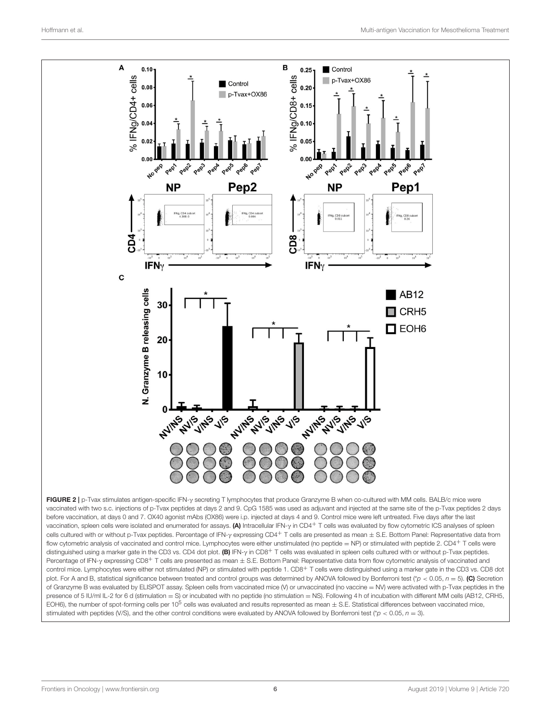

<span id="page-7-0"></span>vaccinated with two s.c. injections of p-Tvax peptides at days 2 and 9. CpG 1585 was used as adjuvant and injected at the same site of the p-Tvax peptides 2 days before vaccination, at days 0 and 7. OX40 agonist mAbs (OX86) were i.p. injected at days 4 and 9. Control mice were left untreated. Five days after the last vaccination, spleen cells were isolated and enumerated for assays. (A) Intracellular IFN-γ in CD4+ T cells was evaluated by flow cytometric ICS analyses of spleen cells cultured with or without p-Tvax peptides. Percentage of IFN-γ expressing CD4+ T cells are presented as mean  $\pm$  S.E. Bottom Panel: Representative data from flow cytometric analysis of vaccinated and control mice. Lymphocytes were either unstimulated (no peptide = NP) or stimulated with peptide 2. CD4+ T cells were distinguished using a marker gate in the CD3 vs. CD4 dot plot. (B) IFN-y in CD8<sup>+</sup> T cells was evaluated in spleen cells cultured with or without p-Tvax peptides. Percentage of IFN-γ expressing CD8<sup>+</sup> T cells are presented as mean ± S.E. Bottom Panel: Representative data from flow cytometric analysis of vaccinated and control mice. Lymphocytes were either not stimulated (NP) or stimulated with peptide 1. CD8<sup>+</sup> T cells were distinguished using a marker gate in the CD3 vs. CD8 dot plot. For A and B, statistical significance between treated and control groups was determined by ANOVA followed by Bonferroni test (\**p* < 0.05, *n* = 5). (C) Secretion of Granzyme B was evaluated by ELISPOT assay. Spleen cells from vaccinated mice (V) or unvaccinated (no vaccine = NV) were activated with p-Tvax peptides in the presence of 5 IU/ml IL-2 for 6 d (stimulation = S) or incubated with no peptide (no stimulation = NS). Following 4 h of incubation with different MM cells (AB12, CRH5, EOH6), the number of spot-forming cells per 10<sup>5</sup> cells was evaluated and results represented as mean  $\pm$  S.E. Statistical differences between vaccinated mice, stimulated with peptides (V/S), and the other control conditions were evaluated by ANOVA followed by Bonferroni test (\**p* < 0.05, *n* = 3).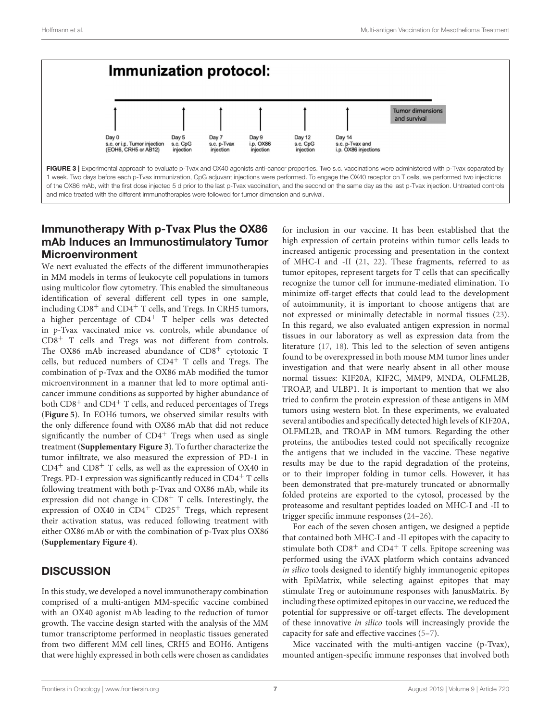

#### <span id="page-8-0"></span>Immunotherapy With p-Tvax Plus the OX86 mAb Induces an Immunostimulatory Tumor Microenvironment

We next evaluated the effects of the different immunotherapies in MM models in terms of leukocyte cell populations in tumors using multicolor flow cytometry. This enabled the simultaneous identification of several different cell types in one sample, including CD8<sup>+</sup> and CD4<sup>+</sup> T cells, and Tregs. In CRH5 tumors, a higher percentage of  $CD4^+$  T helper cells was detected in p-Tvax vaccinated mice vs. controls, while abundance of CD8<sup>+</sup> T cells and Tregs was not different from controls. The OX86 mAb increased abundance of CD8<sup>+</sup> cytotoxic T cells, but reduced numbers of CD4<sup>+</sup> T cells and Tregs. The combination of p-Tvax and the OX86 mAb modified the tumor microenvironment in a manner that led to more optimal anticancer immune conditions as supported by higher abundance of both CD8<sup>+</sup> and CD4<sup>+</sup> T cells, and reduced percentages of Tregs (**[Figure 5](#page-10-0)**). In EOH6 tumors, we observed similar results with the only difference found with OX86 mAb that did not reduce significantly the number of  $CD4^+$  Tregs when used as single treatment (**[Supplementary Figure 3](#page-11-17)**). To further characterize the tumor infiltrate, we also measured the expression of PD-1 in  $CD4<sup>+</sup>$  and  $CD8<sup>+</sup>$  T cells, as well as the expression of OX40 in Tregs. PD-1 expression was significantly reduced in  $CD4<sup>+</sup>$  T cells following treatment with both p-Tvax and OX86 mAb, while its expression did not change in  $CD8<sup>+</sup>$  T cells. Interestingly, the expression of OX40 in CD4<sup>+</sup> CD25<sup>+</sup> Tregs, which represent their activation status, was reduced following treatment with either OX86 mAb or with the combination of p-Tvax plus OX86 (**[Supplementary Figure 4](#page-11-17)**).

### **DISCUSSION**

In this study, we developed a novel immunotherapy combination comprised of a multi-antigen MM-specific vaccine combined with an OX40 agonist mAb leading to the reduction of tumor growth. The vaccine design started with the analysis of the MM tumor transcriptome performed in neoplastic tissues generated from two different MM cell lines, CRH5 and EOH6. Antigens that were highly expressed in both cells were chosen as candidates for inclusion in our vaccine. It has been established that the high expression of certain proteins within tumor cells leads to increased antigenic processing and presentation in the context of MHC-I and -II [\(21,](#page-11-20) [22\)](#page-11-21). These fragments, referred to as tumor epitopes, represent targets for T cells that can specifically recognize the tumor cell for immune-mediated elimination. To minimize off-target effects that could lead to the development of autoimmunity, it is important to choose antigens that are not expressed or minimally detectable in normal tissues [\(23\)](#page-12-0). In this regard, we also evaluated antigen expression in normal tissues in our laboratory as well as expression data from the literature [\(17,](#page-11-15) [18\)](#page-11-16). This led to the selection of seven antigens found to be overexpressed in both mouse MM tumor lines under investigation and that were nearly absent in all other mouse normal tissues: KIF20A, KIF2C, MMP9, MNDA, OLFML2B, TROAP, and ULBP1. It is important to mention that we also tried to confirm the protein expression of these antigens in MM tumors using western blot. In these experiments, we evaluated several antibodies and specifically detected high levels of KIF20A, OLFML2B, and TROAP in MM tumors. Regarding the other proteins, the antibodies tested could not specifically recognize the antigens that we included in the vaccine. These negative results may be due to the rapid degradation of the proteins, or to their improper folding in tumor cells. However, it has been demonstrated that pre-maturely truncated or abnormally folded proteins are exported to the cytosol, processed by the proteasome and resultant peptides loaded on MHC-I and -II to trigger specific immune responses [\(24–](#page-12-1)[26\)](#page-12-2).

For each of the seven chosen antigen, we designed a peptide that contained both MHC-I and -II epitopes with the capacity to stimulate both  $CD8^+$  and  $CD4^+$  T cells. Epitope screening was performed using the iVAX platform which contains advanced in silico tools designed to identify highly immunogenic epitopes with EpiMatrix, while selecting against epitopes that may stimulate Treg or autoimmune responses with JanusMatrix. By including these optimized epitopes in our vaccine, we reduced the potential for suppressive or off-target effects. The development of these innovative in silico tools will increasingly provide the capacity for safe and effective vaccines [\(5–](#page-11-4)[7\)](#page-11-5).

Mice vaccinated with the multi-antigen vaccine (p-Tvax), mounted antigen-specific immune responses that involved both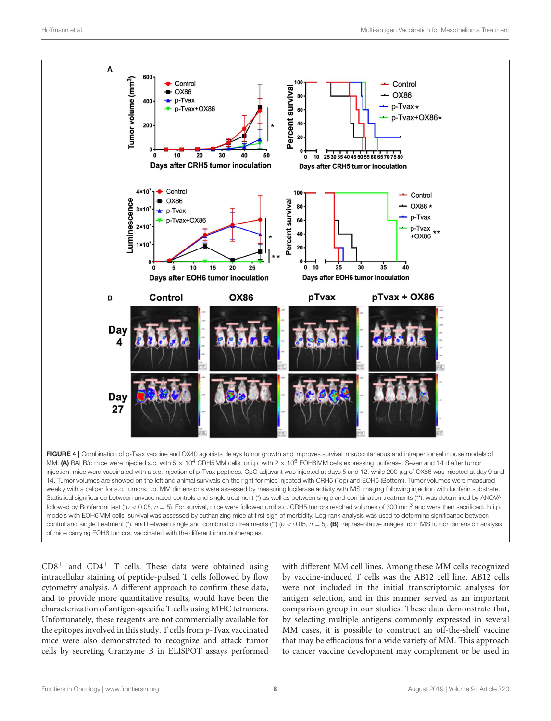

<span id="page-9-0"></span> $CD8<sup>+</sup>$  and  $CD4<sup>+</sup>$  T cells. These data were obtained using intracellular staining of peptide-pulsed T cells followed by flow cytometry analysis. A different approach to confirm these data, and to provide more quantitative results, would have been the characterization of antigen-specific T cells using MHC tetramers. Unfortunately, these reagents are not commercially available for the epitopes involved in this study. T cells from p-Tvax vaccinated mice were also demonstrated to recognize and attack tumor cells by secreting Granzyme B in ELISPOT assays performed with different MM cell lines. Among these MM cells recognized by vaccine-induced T cells was the AB12 cell line. AB12 cells were not included in the initial transcriptomic analyses for antigen selection, and in this manner served as an important comparison group in our studies. These data demonstrate that, by selecting multiple antigens commonly expressed in several MM cases, it is possible to construct an off-the-shelf vaccine that may be efficacious for a wide variety of MM. This approach to cancer vaccine development may complement or be used in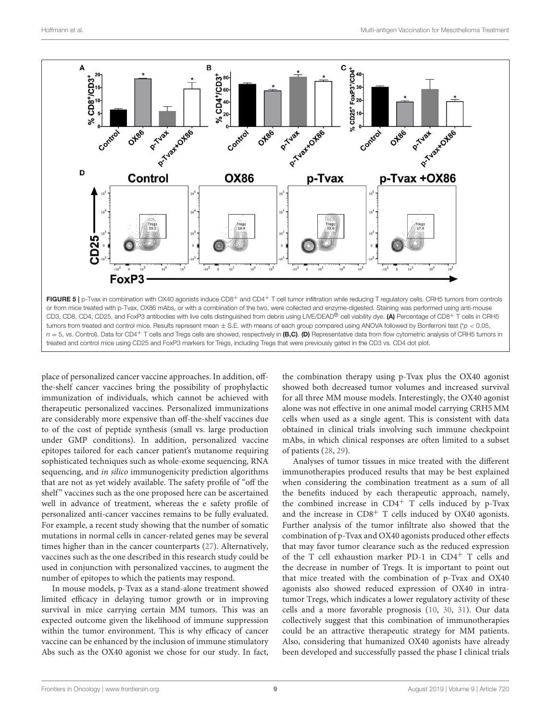

<span id="page-10-0"></span>place of personalized cancer vaccine approaches. In addition, offthe-shelf cancer vaccines bring the possibility of prophylactic immunization of individuals, which cannot be achieved with therapeutic personalized vaccines. Personalized immunizations are considerably more expensive than off-the-shelf vaccines due to of the cost of peptide synthesis (small vs. large production under GMP conditions). In addition, personalized vaccine epitopes tailored for each cancer patient's mutanome requiring sophisticated techniques such as whole-exome sequencing, RNA sequencing, and in silico immunogenicity prediction algorithms that are not as yet widely available. The safety profile of "off the shelf" vaccines such as the one proposed here can be ascertained well in advance of treatment, whereas the e safety profile of personalized anti-cancer vaccines remains to be fully evaluated. For example, a recent study showing that the number of somatic mutations in normal cells in cancer-related genes may be several times higher than in the cancer counterparts [\(27\)](#page-12-3). Alternatively, vaccines such as the one described in this research study could be used in conjunction with personalized vaccines, to augment the number of epitopes to which the patients may respond.

In mouse models, p-Tvax as a stand-alone treatment showed limited efficacy in delaying tumor growth or in improving survival in mice carrying certain MM tumors. This was an expected outcome given the likelihood of immune suppression within the tumor environment. This is why efficacy of cancer vaccine can be enhanced by the inclusion of immune stimulatory Abs such as the OX40 agonist we chose for our study. In fact, the combination therapy using p-Tvax plus the OX40 agonist showed both decreased tumor volumes and increased survival for all three MM mouse models. Interestingly, the OX40 agonist alone was not effective in one animal model carrying CRH5 MM cells when used as a single agent. This is consistent with data obtained in clinical trials involving such immune checkpoint mAbs, in which clinical responses are often limited to a subset of patients [\(28,](#page-12-4) [29\)](#page-12-5).

Analyses of tumor tissues in mice treated with the different immunotherapies produced results that may be best explained when considering the combination treatment as a sum of all the benefits induced by each therapeutic approach, namely, the combined increase in  $CD4^+$  T cells induced by p-Tvax and the increase in  $CD8<sup>+</sup>$  T cells induced by OX40 agonists. Further analysis of the tumor infiltrate also showed that the combination of p-Tvax and OX40 agonists produced other effects that may favor tumor clearance such as the reduced expression of the T cell exhaustion marker PD-1 in  $CD4^+$  T cells and the decrease in number of Tregs. It is important to point out that mice treated with the combination of p-Tvax and OX40 agonists also showed reduced expression of OX40 in intratumor Tregs, which indicates a lower regulatory activity of these cells and a more favorable prognosis [\(10,](#page-11-8) [30,](#page-12-6) [31\)](#page-12-7). Our data collectively suggest that this combination of immunotherapies could be an attractive therapeutic strategy for MM patients. Also, considering that humanized OX40 agonists have already been developed and successfully passed the phase I clinical trials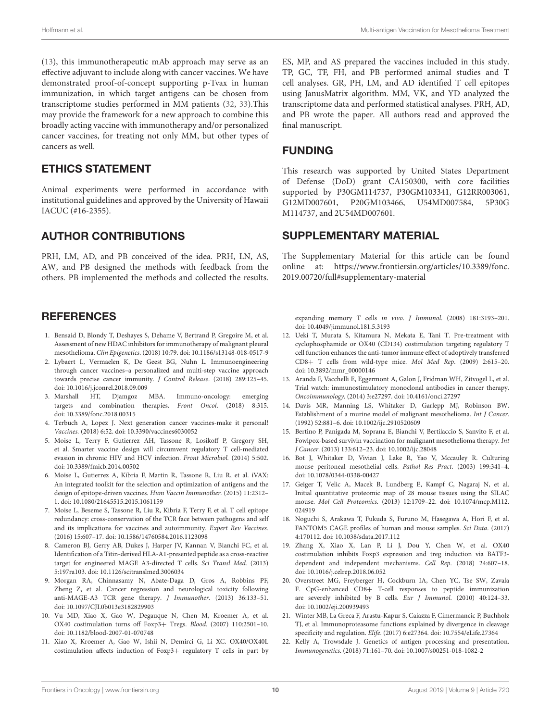[\(13\)](#page-11-10), this immunotherapeutic mAb approach may serve as an effective adjuvant to include along with cancer vaccines. We have demonstrated proof-of-concept supporting p-Tvax in human immunization, in which target antigens can be chosen from transcriptome studies performed in MM patients [\(32,](#page-12-8) [33\)](#page-12-9).This may provide the framework for a new approach to combine this broadly acting vaccine with immunotherapy and/or personalized cancer vaccines, for treating not only MM, but other types of cancers as well.

#### ETHICS STATEMENT

Animal experiments were performed in accordance with institutional guidelines and approved by the University of Hawaii IACUC (#16-2355).

#### AUTHOR CONTRIBUTIONS

PRH, LM, AD, and PB conceived of the idea. PRH, LN, AS, AW, and PB designed the methods with feedback from the others. PB implemented the methods and collected the results.

#### **REFERENCES**

- <span id="page-11-0"></span>1. Bensaid D, Blondy T, Deshayes S, Dehame V, Bertrand P, Gregoire M, et al. Assessment of new HDAC inhibitors for immunotherapy of malignant pleural mesothelioma. Clin Epigenetics. (2018) 10:79. doi: [10.1186/s13148-018-0517-9](https://doi.org/10.1186/s13148-018-0517-9)
- <span id="page-11-1"></span>2. Lybaert L, Vermaelen K, De Geest BG, Nuhn L. Immunoengineering through cancer vaccines–a personalized and multi-step vaccine approach towards precise cancer immunity. J Control Release. (2018) 289:125–45. doi: [10.1016/j.jconrel.2018.09.009](https://doi.org/10.1016/j.jconrel.2018.09.009)<br>Marshall HT, Djamgoz MBA.
- <span id="page-11-2"></span>3. Marshall HT, Djamgoz MBA. Immuno-oncology: emerging targets and combination therapies. Front Oncol. (2018) 8:315. doi: [10.3389/fonc.2018.00315](https://doi.org/10.3389/fonc.2018.00315)
- <span id="page-11-3"></span>4. Terbuch A, Lopez J. Next generation cancer vaccines-make it personal! Vaccines. (2018) 6:52. doi: [10.3390/vaccines6030052](https://doi.org/10.3390/vaccines6030052)
- <span id="page-11-4"></span>5. Moise L, Terry F, Gutierrez AH, Tassone R, Losikoff P, Gregory SH, et al. Smarter vaccine design will circumvent regulatory T cell-mediated evasion in chronic HIV and HCV infection. Front Microbiol. (2014) 5:502. doi: [10.3389/fmicb.2014.00502](https://doi.org/10.3389/fmicb.2014.00502)
- <span id="page-11-14"></span>6. Moise L, Gutierrez A, Kibria F, Martin R, Tassone R, Liu R, et al. iVAX: An integrated toolkit for the selection and optimization of antigens and the design of epitope-driven vaccines. Hum Vaccin Immunother. (2015) 11:2312– 1. doi: [10.1080/21645515.2015.1061159](https://doi.org/10.1080/21645515.2015.1061159)
- <span id="page-11-5"></span>7. Moise L, Beseme S, Tassone R, Liu R, Kibria F, Terry F, et al. T cell epitope redundancy: cross-conservation of the TCR face between pathogens and self and its implications for vaccines and autoimmunity. Expert Rev Vaccines. (2016) 15:607–17. doi: [10.1586/14760584.2016.1123098](https://doi.org/10.1586/14760584.2016.1123098)
- <span id="page-11-6"></span>8. Cameron BJ, Gerry AB, Dukes J, Harper JV, Kannan V, Bianchi FC, et al. Identification of a Titin-derived HLA-A1-presented peptide as a cross-reactive target for engineered MAGE A3-directed T cells. Sci Transl Med. (2013) 5:197ra103. doi: [10.1126/scitranslmed.3006034](https://doi.org/10.1126/scitranslmed.3006034)
- <span id="page-11-7"></span>9. Morgan RA, Chinnasamy N, Abate-Daga D, Gros A, Robbins PF, Zheng Z, et al. Cancer regression and neurological toxicity following anti-MAGE-A3 TCR gene therapy. J Immunother. (2013) 36:133–51. doi: [10.1097/CJI.0b013e3182829903](https://doi.org/10.1097/CJI.0b013e3182829903)
- <span id="page-11-8"></span>10. Vu MD, Xiao X, Gao W, Degauque N, Chen M, Kroemer A, et al. OX40 costimulation turns off Foxp3+ Tregs. Blood. (2007) 110:2501–10. doi: [10.1182/blood-2007-01-070748](https://doi.org/10.1182/blood-2007-01-070748)
- 11. Xiao X, Kroemer A, Gao W, Ishii N, Demirci G, Li XC. OX40/OX40L costimulation affects induction of Foxp3+ regulatory T cells in part by

ES, MP, and AS prepared the vaccines included in this study. TP, GC, TF, FH, and PB performed animal studies and T cell analyses. GR, PH, LM, and AD identified T cell epitopes using JanusMatrix algorithm. MM, VK, and YD analyzed the transcriptome data and performed statistical analyses. PRH, AD, and PB wrote the paper. All authors read and approved the final manuscript.

#### FUNDING

This research was supported by United States Department of Defense (DoD) grant CA150300, with core facilities supported by P30GM114737, P30GM103341, G12RR003061, G12MD007601, P20GM103466, U54MD007584, 5P30G M114737, and 2U54MD007601.

#### SUPPLEMENTARY MATERIAL

<span id="page-11-17"></span>The Supplementary Material for this article can be found [online at: https://www.frontiersin.org/articles/10.3389/fonc.](https://www.frontiersin.org/articles/10.3389/fonc.2019.00720/full#supplementary-material) 2019.00720/full#supplementary-material

expanding memory T cells in vivo. J Immunol. (2008) 181:3193–201. doi: [10.4049/jimmunol.181.5.3193](https://doi.org/10.4049/jimmunol.181.5.3193)

- <span id="page-11-9"></span>12. Ueki T, Murata S, Kitamura N, Mekata E, Tani T. Pre-treatment with cyclophosphamide or OX40 (CD134) costimulation targeting regulatory T cell function enhances the anti-tumor immune effect of adoptively transferred CD8+ T cells from wild-type mice. Mol Med Rep. (2009) 2:615–20. doi: [10.3892/mmr\\_00000146](https://doi.org/10.3892/mmr_00000146)
- <span id="page-11-10"></span>13. Aranda F, Vacchelli E, Eggermont A, Galon J, Fridman WH, Zitvogel L, et al. Trial watch: immunostimulatory monoclonal antibodies in cancer therapy. Oncoimmunology. (2014) 3:e27297. doi: [10.4161/onci.27297](https://doi.org/10.4161/onci.27297)
- <span id="page-11-11"></span>14. Davis MR, Manning LS, Whitaker D, Garlepp MJ, Robinson BW. Establishment of a murine model of malignant mesothelioma. Int J Cancer. (1992) 52:881–6. doi: [10.1002/ijc.2910520609](https://doi.org/10.1002/ijc.2910520609)
- <span id="page-11-12"></span>15. Bertino P, Panigada M, Soprana E, Bianchi V, Bertilaccio S, Sanvito F, et al. Fowlpox-based survivin vaccination for malignant mesothelioma therapy. Int J Cancer. (2013) 133:612–23. doi: [10.1002/ijc.28048](https://doi.org/10.1002/ijc.28048)
- <span id="page-11-13"></span>16. Bot J, Whitaker D, Vivian J, Lake R, Yao V, Mccauley R. Culturing mouse peritoneal mesothelial cells. Pathol Res Pract. (2003) 199:341–4. doi: [10.1078/0344-0338-00427](https://doi.org/10.1078/0344-0338-00427)
- <span id="page-11-15"></span>17. Geiger T, Velic A, Macek B, Lundberg E, Kampf C, Nagaraj N, et al. Initial quantitative proteomic map of 28 mouse tissues using the SILAC mouse. Mol Cell Proteomics[. \(2013\) 12:1709–22. doi: 10.1074/mcp.M112.](https://doi.org/10.1074/mcp.M112.024919) 024919
- <span id="page-11-16"></span>18. Noguchi S, Arakawa T, Fukuda S, Furuno M, Hasegawa A, Hori F, et al. FANTOM5 CAGE profiles of human and mouse samples. Sci Data. (2017) 4:170112. doi: [10.1038/sdata.2017.112](https://doi.org/10.1038/sdata.2017.112)
- <span id="page-11-18"></span>19. Zhang X, Xiao X, Lan P, Li J, Dou Y, Chen W, et al. OX40 costimulation inhibits Foxp3 expression and treg induction via BATF3 dependent and independent mechanisms. Cell Rep. (2018) 24:607–18. doi: [10.1016/j.celrep.2018.06.052](https://doi.org/10.1016/j.celrep.2018.06.052)
- <span id="page-11-19"></span>20. Overstreet MG, Freyberger H, Cockburn IA, Chen YC, Tse SW, Zavala F. CpG-enhanced CD8+ T-cell responses to peptide immunization are severely inhibited by B cells. Eur J Immunol. (2010) 40:124–33. doi: [10.1002/eji.200939493](https://doi.org/10.1002/eji.200939493)
- <span id="page-11-20"></span>21. Winter MB, La Greca F, Arastu-Kapur S, Caiazza F, Cimermancic P, Buchholz TJ, et al. Immunoproteasome functions explained by divergence in cleavage specificity and regulation. Elife. (2017) 6:e27364. doi: [10.7554/eLife.27364](https://doi.org/10.7554/eLife.27364)
- <span id="page-11-21"></span>22. Kelly A, Trowsdale J. Genetics of antigen processing and presentation. Immunogenetics. (2018) 71:161–70. doi: [10.1007/s00251-018-1082-2](https://doi.org/10.1007/s00251-018-1082-2)